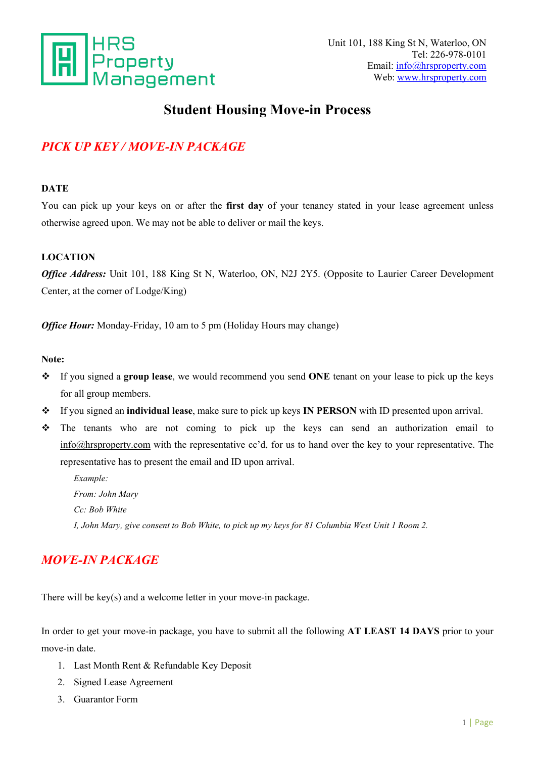

# **Student Housing Move-in Process**

## *PICK UP KEY / MOVE-IN PACKAGE*

#### **DATE**

You can pick up your keys on or after the **first day** of your tenancy stated in your lease agreement unless otherwise agreed upon. We may not be able to deliver or mail the keys.

#### **LOCATION**

*Office Address:* Unit 101, 188 King St N, Waterloo, ON, N2J 2Y5. (Opposite to Laurier Career Development Center, at the corner of Lodge/King)

*Office Hour:* Monday-Friday, 10 am to 5 pm (Holiday Hours may change)

#### **Note:**

- If you signed a **group lease**, we would recommend you send **ONE** tenant on your lease to pick up the keys for all group members.
- If you signed an**individual lease**, make sure to pick up keys**IN PERSON** with ID presented upon arrival.
- The tenants who are not coming to pick up the keys can send an authorization email to info@hrsproperty.com with the representative cc'd, for us to hand over the key to your representative. The representative has to present the email and ID upon arrival.

*Example: From: John Mary Cc: Bob White* I, John Mary, give consent to Bob White, to pick up my keys for 81 Columbia West Unit 1 Room 2.

## *MOVE-IN PACKAGE*

There will be key(s) and a welcome letter in your move-in package.

In order to get your move-in package, you have to submit all the following **AT LEAST 14 DAYS** prior to your move-in date.

- 1. Last Month Rent & Refundable Key Deposit
- 2. Signed Lease Agreement
- 3. Guarantor Form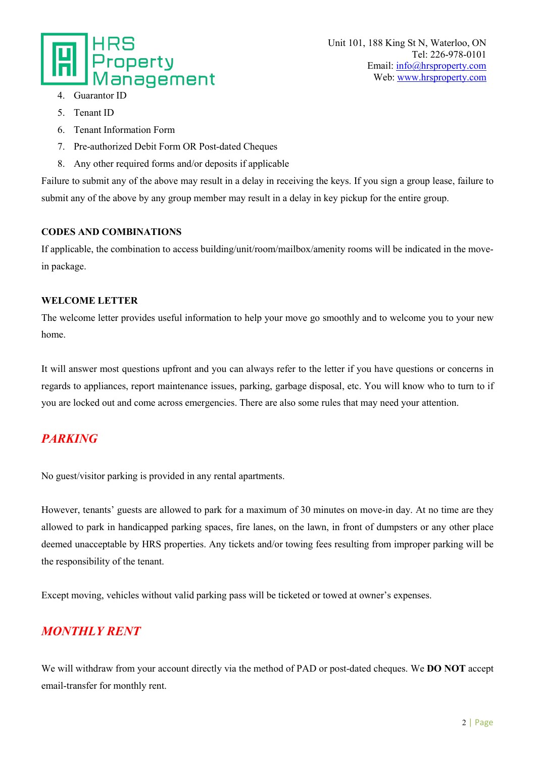

- 4. Guarantor II
- 5. Tenant ID
- 6. Tenant Information Form
- 7. Pre-authorized Debit Form OR Post-dated Cheques
- 8. Any other required forms and/or deposits if applicable

Failure to submit any of the above may result in a delay in receiving the keys. If you sign a group lease, failure to submit any of the above by any group member may result in a delay in key pickup for the entire group.

#### **CODES AND COMBINATIONS**

If applicable, the combination to access building/unit/room/mailbox/amenity rooms will be indicated in the movein package.

#### **WELCOME LETTER**

The welcome letter provides useful information to help your move go smoothly and to welcome you to your new home.

It will answer most questions upfront and you can always refer to the letter if you have questions or concerns in regards to appliances, report maintenance issues, parking, garbage disposal, etc. You will know who to turn to if you are locked out and come across emergencies. There are also some rules that may need your attention.

## *PARKING*

No guest/visitor parking is provided in any rental apartments.

However, tenants' guests are allowed to park for a maximum of 30 minutes on move-in day. At no time are they allowed to park in handicapped parking spaces, fire lanes, on the lawn, in front of dumpsters or any other place deemed unacceptable by HRS properties. Any tickets and/or towing fees resulting from improper parking will be the responsibility of the tenant.

Except moving, vehicles without valid parking pass will be ticketed or towed at owner's expenses.

### *MONTHLY RENT*

We will withdraw from your account directly via the method of PAD or post-dated cheques. We **DO NOT** accept email-transfer for monthly rent.